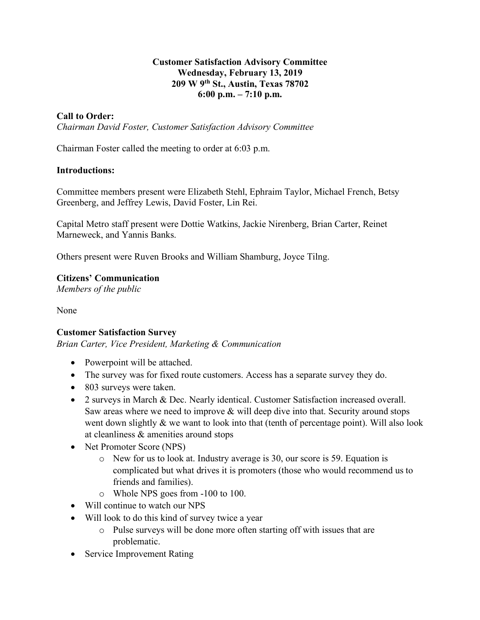#### **Customer Satisfaction Advisory Committee Wednesday, February 13, 2019 209 W 9th St., Austin, Texas 78702 6:00 p.m. – 7:10 p.m.**

### **Call to Order:**

*Chairman David Foster, Customer Satisfaction Advisory Committee*

Chairman Foster called the meeting to order at 6:03 p.m.

#### **Introductions:**

Committee members present were Elizabeth Stehl, Ephraim Taylor, Michael French, Betsy Greenberg, and Jeffrey Lewis, David Foster, Lin Rei.

Capital Metro staff present were Dottie Watkins, Jackie Nirenberg, Brian Carter, Reinet Marneweck, and Yannis Banks.

Others present were Ruven Brooks and William Shamburg, Joyce Tilng.

#### **Citizens' Communication**

*Members of the public*

None

### **Customer Satisfaction Survey**

*Brian Carter, Vice President, Marketing & Communication*

- Powerpoint will be attached.
- The survey was for fixed route customers. Access has a separate survey they do.
- 803 surveys were taken.
- 2 surveys in March & Dec. Nearly identical. Customer Satisfaction increased overall. Saw areas where we need to improve  $&$  will deep dive into that. Security around stops went down slightly  $\&$  we want to look into that (tenth of percentage point). Will also look at cleanliness & amenities around stops
- Net Promoter Score (NPS)
	- o New for us to look at. Industry average is 30, our score is 59. Equation is complicated but what drives it is promoters (those who would recommend us to friends and families).
	- o Whole NPS goes from -100 to 100.
- Will continue to watch our NPS
- Will look to do this kind of survey twice a year
	- o Pulse surveys will be done more often starting off with issues that are problematic.
- Service Improvement Rating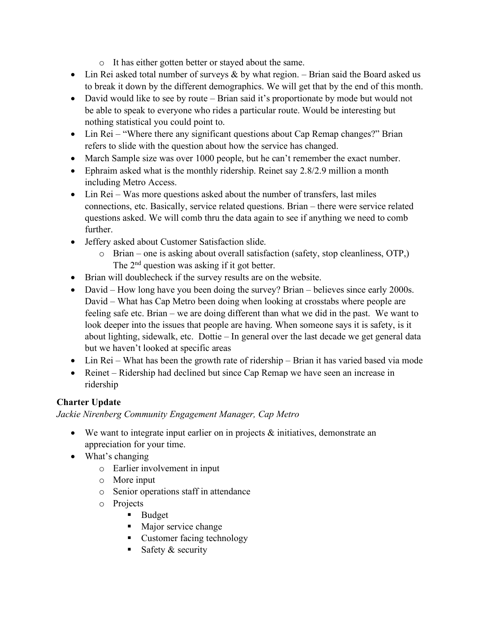- o It has either gotten better or stayed about the same.
- Lin Rei asked total number of surveys  $\&$  by what region. Brian said the Board asked us to break it down by the different demographics. We will get that by the end of this month.
- David would like to see by route Brian said it's proportionate by mode but would not be able to speak to everyone who rides a particular route. Would be interesting but nothing statistical you could point to.
- Lin Rei "Where there any significant questions about Cap Remap changes?" Brian refers to slide with the question about how the service has changed.
- March Sample size was over 1000 people, but he can't remember the exact number.
- Ephraim asked what is the monthly ridership. Reinet say 2.8/2.9 million a month including Metro Access.
- Lin Rei Was more questions asked about the number of transfers, last miles connections, etc. Basically, service related questions. Brian – there were service related questions asked. We will comb thru the data again to see if anything we need to comb further.
- Jeffery asked about Customer Satisfaction slide.
	- o Brian one is asking about overall satisfaction (safety, stop cleanliness, OTP,) The 2<sup>nd</sup> question was asking if it got better.
- Brian will doublecheck if the survey results are on the website.
- David How long have you been doing the survey? Brian believes since early 2000s. David – What has Cap Metro been doing when looking at crosstabs where people are feeling safe etc. Brian – we are doing different than what we did in the past. We want to look deeper into the issues that people are having. When someone says it is safety, is it about lighting, sidewalk, etc. Dottie – In general over the last decade we get general data but we haven't looked at specific areas
- Lin Rei What has been the growth rate of ridership Brian it has varied based via mode
- Reinet Ridership had declined but since Cap Remap we have seen an increase in ridership

# **Charter Update**

*Jackie Nirenberg Community Engagement Manager, Cap Metro*

- We want to integrate input earlier on in projects & initiatives, demonstrate an appreciation for your time.
- What's changing
	- o Earlier involvement in input
	- o More input
	- o Senior operations staff in attendance
	- o Projects
		- Budget
		- Major service change
		- Customer facing technology
		- Safety  $&$  security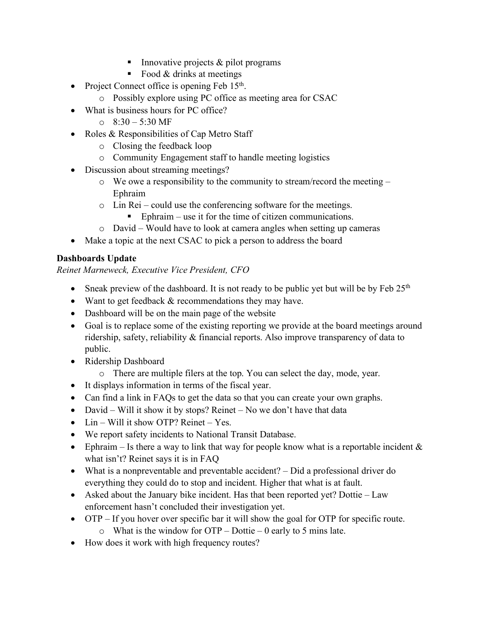- Innovative projects & pilot programs
- $\blacksquare$  Food & drinks at meetings
- Project Connect office is opening Feb  $15<sup>th</sup>$ .
	- o Possibly explore using PC office as meeting area for CSAC
- What is business hours for PC office?
	- $\circ$  8:30 5:30 MF
- Roles & Responsibilities of Cap Metro Staff
	- o Closing the feedback loop
	- o Community Engagement staff to handle meeting logistics
- Discussion about streaming meetings?
	- o We owe a responsibility to the community to stream/record the meeting Ephraim
	- o Lin Rei could use the conferencing software for the meetings.
		- Ephraim use it for the time of citizen communications.
	- o David Would have to look at camera angles when setting up cameras
- Make a topic at the next CSAC to pick a person to address the board

# **Dashboards Update**

*Reinet Marneweck, Executive Vice President, CFO* 

- Sneak preview of the dashboard. It is not ready to be public yet but will be by Feb  $25<sup>th</sup>$
- Want to get feedback  $&$  recommendations they may have.
- Dashboard will be on the main page of the website
- Goal is to replace some of the existing reporting we provide at the board meetings around ridership, safety, reliability & financial reports. Also improve transparency of data to public.
- Ridership Dashboard
	- o There are multiple filers at the top. You can select the day, mode, year.
- It displays information in terms of the fiscal year.
- Can find a link in FAQs to get the data so that you can create your own graphs.
- David Will it show it by stops? Reinet No we don't have that data
- Lin Will it show OTP? Reinet Yes.
- We report safety incidents to National Transit Database.
- Ephraim Is there a way to link that way for people know what is a reportable incident  $\&$ what isn't? Reinet says it is in FAQ
- What is a nonpreventable and preventable accident? Did a professional driver do everything they could do to stop and incident. Higher that what is at fault.
- Asked about the January bike incident. Has that been reported yet? Dottie Law enforcement hasn't concluded their investigation yet.
- OTP If you hover over specific bar it will show the goal for OTP for specific route.
	- $\circ$  What is the window for OTP Dottie 0 early to 5 mins late.
- How does it work with high frequency routes?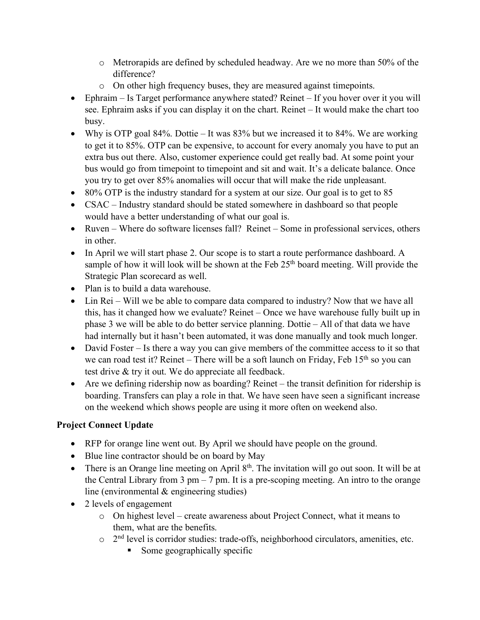- $\circ$  Metrorapids are defined by scheduled headway. Are we no more than 50% of the difference?
- o On other high frequency buses, they are measured against timepoints.
- Ephraim Is Target performance anywhere stated? Reinet If you hover over it you will see. Ephraim asks if you can display it on the chart. Reinet – It would make the chart too busy.
- Why is OTP goal 84%. Dottie It was  $83\%$  but we increased it to  $84\%$ . We are working to get it to 85%. OTP can be expensive, to account for every anomaly you have to put an extra bus out there. Also, customer experience could get really bad. At some point your bus would go from timepoint to timepoint and sit and wait. It's a delicate balance. Once you try to get over 85% anomalies will occur that will make the ride unpleasant.
- 80% OTP is the industry standard for a system at our size. Our goal is to get to 85
- CSAC Industry standard should be stated somewhere in dashboard so that people would have a better understanding of what our goal is.
- Ruven Where do software licenses fall? Reinet Some in professional services, others in other.
- In April we will start phase 2. Our scope is to start a route performance dashboard. A sample of how it will look will be shown at the Feb 25<sup>th</sup> board meeting. Will provide the Strategic Plan scorecard as well.
- Plan is to build a data warehouse.
- Lin Rei Will we be able to compare data compared to industry? Now that we have all this, has it changed how we evaluate? Reinet – Once we have warehouse fully built up in phase 3 we will be able to do better service planning. Dottie – All of that data we have had internally but it hasn't been automated, it was done manually and took much longer.
- David Foster Is there a way you can give members of the committee access to it so that we can road test it? Reinet – There will be a soft launch on Friday, Feb  $15<sup>th</sup>$  so you can test drive & try it out. We do appreciate all feedback.
- Are we defining ridership now as boarding? Reinet the transit definition for ridership is boarding. Transfers can play a role in that. We have seen have seen a significant increase on the weekend which shows people are using it more often on weekend also.

# **Project Connect Update**

- RFP for orange line went out. By April we should have people on the ground.
- Blue line contractor should be on board by May
- There is an Orange line meeting on April  $8<sup>th</sup>$ . The invitation will go out soon. It will be at the Central Library from 3 pm  $-7$  pm. It is a pre-scoping meeting. An intro to the orange line (environmental & engineering studies)
- 2 levels of engagement
	- o On highest level create awareness about Project Connect, what it means to them, what are the benefits.
	- $\circ$  2<sup>nd</sup> level is corridor studies: trade-offs, neighborhood circulators, amenities, etc.
		- Some geographically specific